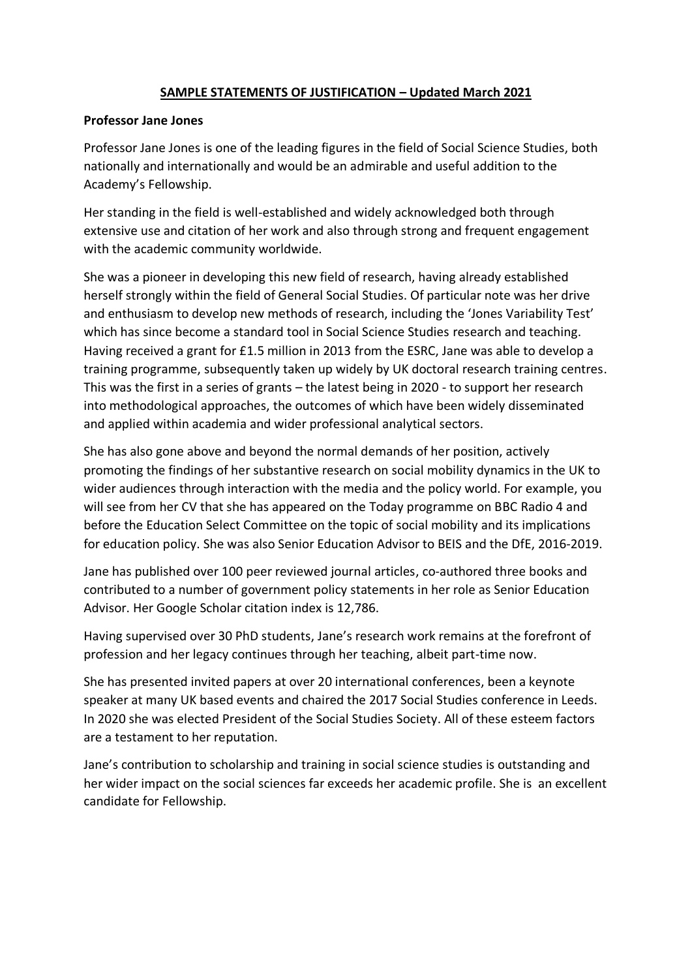## **SAMPLE STATEMENTS OF JUSTIFICATION – Updated March 2021**

#### **Professor Jane Jones**

Professor Jane Jones is one of the leading figures in the field of Social Science Studies, both nationally and internationally and would be an admirable and useful addition to the Academy's Fellowship.

Her standing in the field is well-established and widely acknowledged both through extensive use and citation of her work and also through strong and frequent engagement with the academic community worldwide.

She was a pioneer in developing this new field of research, having already established herself strongly within the field of General Social Studies. Of particular note was her drive and enthusiasm to develop new methods of research, including the 'Jones Variability Test' which has since become a standard tool in Social Science Studies research and teaching. Having received a grant for £1.5 million in 2013 from the ESRC, Jane was able to develop a training programme, subsequently taken up widely by UK doctoral research training centres. This was the first in a series of grants – the latest being in 2020 - to support her research into methodological approaches, the outcomes of which have been widely disseminated and applied within academia and wider professional analytical sectors.

She has also gone above and beyond the normal demands of her position, actively promoting the findings of her substantive research on social mobility dynamics in the UK to wider audiences through interaction with the media and the policy world. For example, you will see from her CV that she has appeared on the Today programme on BBC Radio 4 and before the Education Select Committee on the topic of social mobility and its implications for education policy. She was also Senior Education Advisor to BEIS and the DfE, 2016-2019.

Jane has published over 100 peer reviewed journal articles, co-authored three books and contributed to a number of government policy statements in her role as Senior Education Advisor. Her Google Scholar citation index is 12,786.

Having supervised over 30 PhD students, Jane's research work remains at the forefront of profession and her legacy continues through her teaching, albeit part-time now.

She has presented invited papers at over 20 international conferences, been a keynote speaker at many UK based events and chaired the 2017 Social Studies conference in Leeds. In 2020 she was elected President of the Social Studies Society. All of these esteem factors are a testament to her reputation.

Jane's contribution to scholarship and training in social science studies is outstanding and her wider impact on the social sciences far exceeds her academic profile. She is an excellent candidate for Fellowship.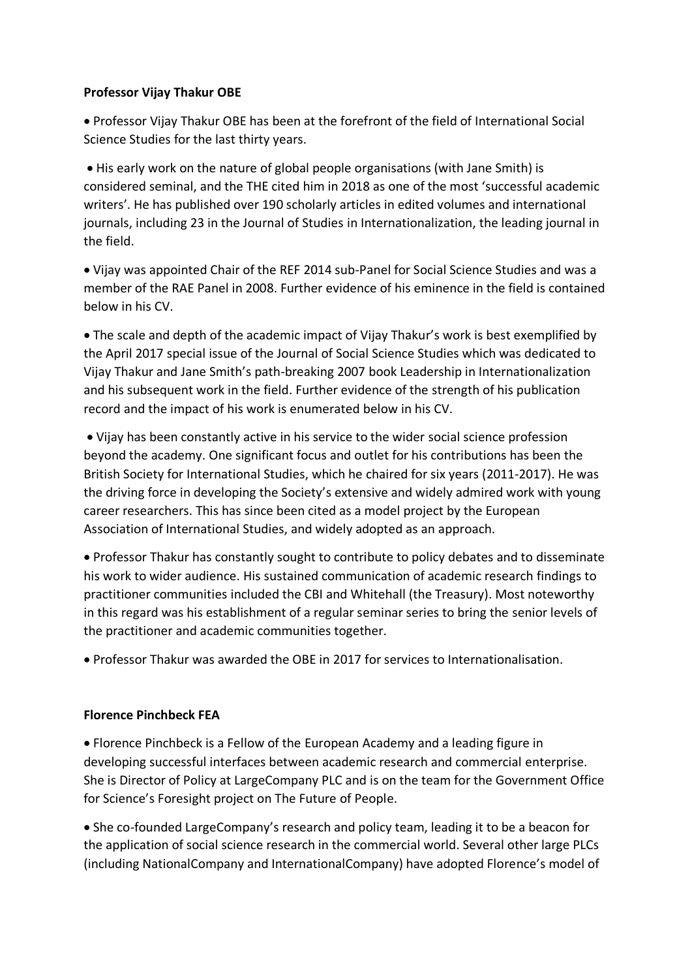### **Professor Vijay Thakur OBE**

• Professor Vijay Thakur OBE has been at the forefront of the field of International Social Science Studies for the last thirty years.

• His early work on the nature of global people organisations (with Jane Smith) is considered seminal, and the THE cited him in 2018 as one of the most 'successful academic writers'. He has published over 190 scholarly articles in edited volumes and international journals, including 23 in the Journal of Studies in Internationalization, the leading journal in the field.

• Vijay was appointed Chair of the REF 2014 sub-Panel for Social Science Studies and was a member of the RAE Panel in 2008. Further evidence of his eminence in the field is contained below in his CV.

• The scale and depth of the academic impact of Vijay Thakur's work is best exemplified by the April 2017 special issue of the Journal of Social Science Studies which was dedicated to Vijay Thakur and Jane Smith's path-breaking 2007 book Leadership in Internationalization and his subsequent work in the field. Further evidence of the strength of his publication record and the impact of his work is enumerated below in his CV.

• Vijay has been constantly active in his service to the wider social science profession beyond the academy. One significant focus and outlet for his contributions has been the British Society for International Studies, which he chaired for six years (2011-2017). He was the driving force in developing the Society's extensive and widely admired work with young career researchers. This has since been cited as a model project by the European Association of International Studies, and widely adopted as an approach.

• Professor Thakur has constantly sought to contribute to policy debates and to disseminate his work to wider audience. His sustained communication of academic research findings to practitioner communities included the CBI and Whitehall (the Treasury). Most noteworthy in this regard was his establishment of a regular seminar series to bring the senior levels of the practitioner and academic communities together.

• Professor Thakur was awarded the OBE in 2017 for services to Internationalisation.

# **Florence Pinchbeck FEA**

• Florence Pinchbeck is a Fellow of the European Academy and a leading figure in developing successful interfaces between academic research and commercial enterprise. She is Director of Policy at LargeCompany PLC and is on the team for the Government Office for Science's Foresight project on The Future of People.

• She co-founded LargeCompany's research and policy team, leading it to be a beacon for the application of social science research in the commercial world. Several other large PLCs (including NationalCompany and InternationalCompany) have adopted Florence's model of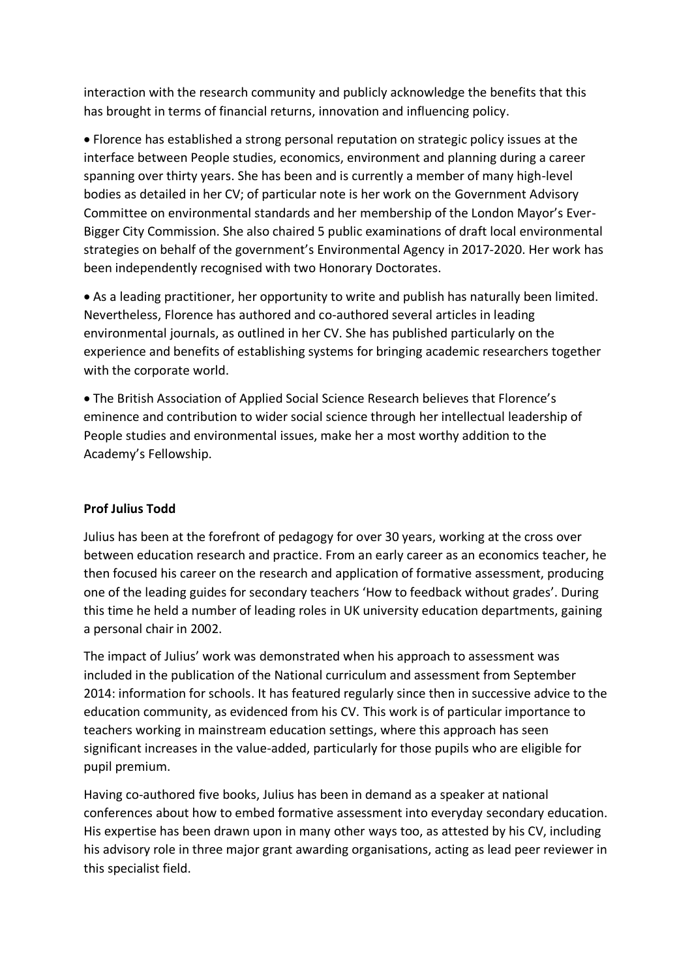interaction with the research community and publicly acknowledge the benefits that this has brought in terms of financial returns, innovation and influencing policy.

• Florence has established a strong personal reputation on strategic policy issues at the interface between People studies, economics, environment and planning during a career spanning over thirty years. She has been and is currently a member of many high-level bodies as detailed in her CV; of particular note is her work on the Government Advisory Committee on environmental standards and her membership of the London Mayor's Ever-Bigger City Commission. She also chaired 5 public examinations of draft local environmental strategies on behalf of the government's Environmental Agency in 2017-2020. Her work has been independently recognised with two Honorary Doctorates.

• As a leading practitioner, her opportunity to write and publish has naturally been limited. Nevertheless, Florence has authored and co-authored several articles in leading environmental journals, as outlined in her CV. She has published particularly on the experience and benefits of establishing systems for bringing academic researchers together with the corporate world.

• The British Association of Applied Social Science Research believes that Florence's eminence and contribution to wider social science through her intellectual leadership of People studies and environmental issues, make her a most worthy addition to the Academy's Fellowship.

# **Prof Julius Todd**

Julius has been at the forefront of pedagogy for over 30 years, working at the cross over between education research and practice. From an early career as an economics teacher, he then focused his career on the research and application of formative assessment, producing one of the leading guides for secondary teachers 'How to feedback without grades'. During this time he held a number of leading roles in UK university education departments, gaining a personal chair in 2002.

The impact of Julius' work was demonstrated when his approach to assessment was included in the publication of the National curriculum and assessment from September 2014: information for schools. It has featured regularly since then in successive advice to the education community, as evidenced from his CV. This work is of particular importance to teachers working in mainstream education settings, where this approach has seen significant increases in the value-added, particularly for those pupils who are eligible for pupil premium.

Having co-authored five books, Julius has been in demand as a speaker at national conferences about how to embed formative assessment into everyday secondary education. His expertise has been drawn upon in many other ways too, as attested by his CV, including his advisory role in three major grant awarding organisations, acting as lead peer reviewer in this specialist field.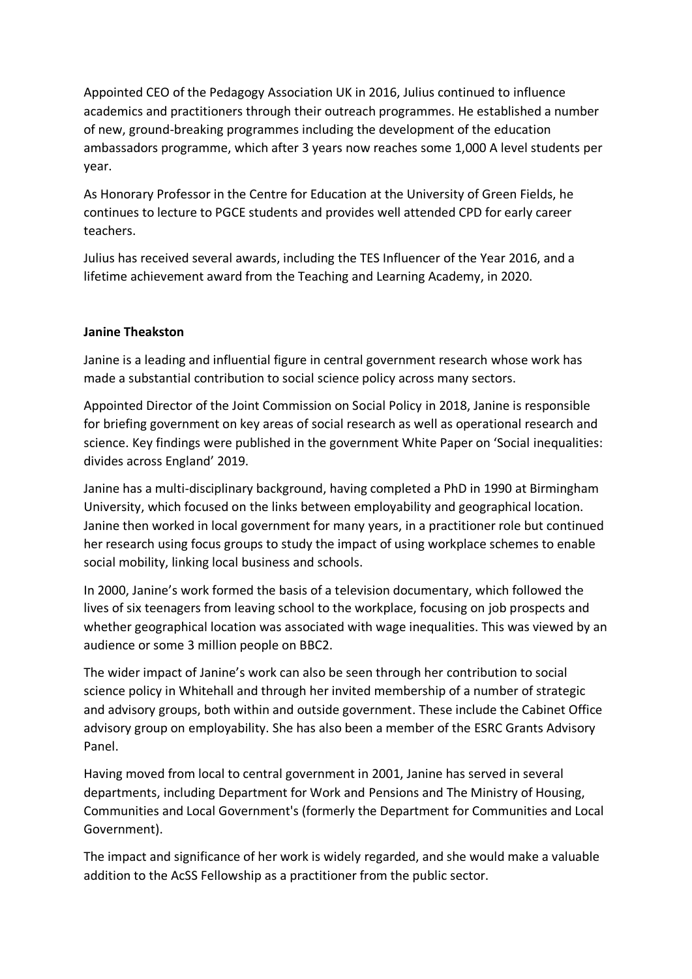Appointed CEO of the Pedagogy Association UK in 2016, Julius continued to influence academics and practitioners through their outreach programmes. He established a number of new, ground-breaking programmes including the development of the education ambassadors programme, which after 3 years now reaches some 1,000 A level students per year.

As Honorary Professor in the Centre for Education at the University of Green Fields, he continues to lecture to PGCE students and provides well attended CPD for early career teachers.

Julius has received several awards, including the TES Influencer of the Year 2016, and a lifetime achievement award from the Teaching and Learning Academy, in 2020.

# **Janine Theakston**

Janine is a leading and influential figure in central government research whose work has made a substantial contribution to social science policy across many sectors.

Appointed Director of the Joint Commission on Social Policy in 2018, Janine is responsible for briefing government on key areas of social research as well as operational research and science. Key findings were published in the government White Paper on 'Social inequalities: divides across England' 2019.

Janine has a multi-disciplinary background, having completed a PhD in 1990 at Birmingham University, which focused on the links between employability and geographical location. Janine then worked in local government for many years, in a practitioner role but continued her research using focus groups to study the impact of using workplace schemes to enable social mobility, linking local business and schools.

In 2000, Janine's work formed the basis of a television documentary, which followed the lives of six teenagers from leaving school to the workplace, focusing on job prospects and whether geographical location was associated with wage inequalities. This was viewed by an audience or some 3 million people on BBC2.

The wider impact of Janine's work can also be seen through her contribution to social science policy in Whitehall and through her invited membership of a number of strategic and advisory groups, both within and outside government. These include the Cabinet Office advisory group on employability. She has also been a member of the ESRC Grants Advisory Panel.

Having moved from local to central government in 2001, Janine has served in several departments, including Department for Work and Pensions and The Ministry of Housing, Communities and Local Government's (formerly the Department for Communities and Local Government).

The impact and significance of her work is widely regarded, and she would make a valuable addition to the AcSS Fellowship as a practitioner from the public sector.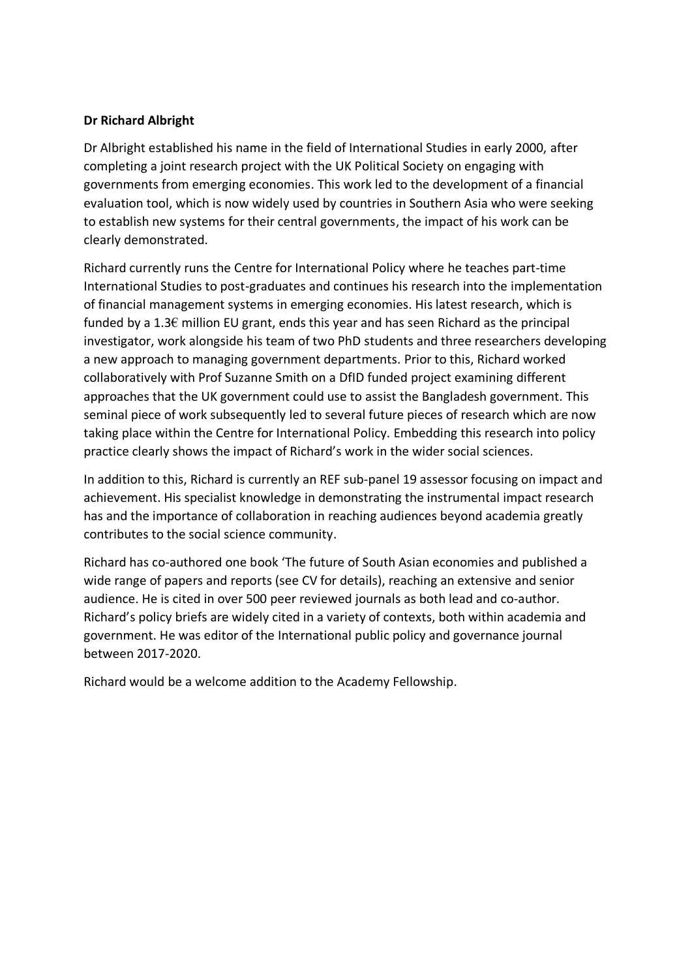# **Dr Richard Albright**

Dr Albright established his name in the field of International Studies in early 2000, after completing a joint research project with the UK Political Society on engaging with governments from emerging economies. This work led to the development of a financial evaluation tool, which is now widely used by countries in Southern Asia who were seeking to establish new systems for their central governments, the impact of his work can be clearly demonstrated.

Richard currently runs the Centre for International Policy where he teaches part-time International Studies to post-graduates and continues his research into the implementation of financial management systems in emerging economies. His latest research, which is funded by a 1.3 $\epsilon$  million EU grant, ends this year and has seen Richard as the principal investigator, work alongside his team of two PhD students and three researchers developing a new approach to managing government departments. Prior to this, Richard worked collaboratively with Prof Suzanne Smith on a DfID funded project examining different approaches that the UK government could use to assist the Bangladesh government. This seminal piece of work subsequently led to several future pieces of research which are now taking place within the Centre for International Policy. Embedding this research into policy practice clearly shows the impact of Richard's work in the wider social sciences.

In addition to this, Richard is currently an REF sub-panel 19 assessor focusing on impact and achievement. His specialist knowledge in demonstrating the instrumental impact research has and the importance of collaboration in reaching audiences beyond academia greatly contributes to the social science community.

Richard has co-authored one book 'The future of South Asian economies and published a wide range of papers and reports (see CV for details), reaching an extensive and senior audience. He is cited in over 500 peer reviewed journals as both lead and co-author. Richard's policy briefs are widely cited in a variety of contexts, both within academia and government. He was editor of the International public policy and governance journal between 2017-2020.

Richard would be a welcome addition to the Academy Fellowship.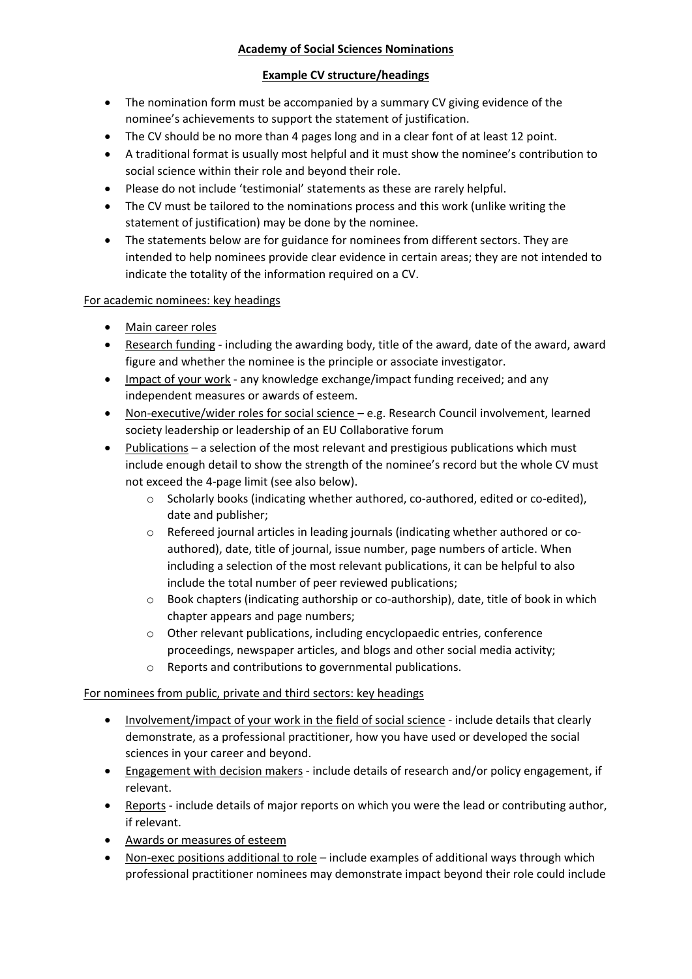# **Academy of Social Sciences Nominations**

### **Example CV structure/headings**

- The nomination form must be accompanied by a summary CV giving evidence of the nominee's achievements to support the statement of justification.
- The CV should be no more than 4 pages long and in a clear font of at least 12 point.
- A traditional format is usually most helpful and it must show the nominee's contribution to social science within their role and beyond their role.
- Please do not include 'testimonial' statements as these are rarely helpful.
- The CV must be tailored to the nominations process and this work (unlike writing the statement of justification) may be done by the nominee.
- The statements below are for guidance for nominees from different sectors. They are intended to help nominees provide clear evidence in certain areas; they are not intended to indicate the totality of the information required on a CV.

#### For academic nominees: key headings

- Main career roles
- Research funding including the awarding body, title of the award, date of the award, award figure and whether the nominee is the principle or associate investigator.
- Impact of your work any knowledge exchange/impact funding received; and any independent measures or awards of esteem.
- Non-executive/wider roles for social science e.g. Research Council involvement, learned society leadership or leadership of an EU Collaborative forum
- Publications a selection of the most relevant and prestigious publications which must include enough detail to show the strength of the nominee's record but the whole CV must not exceed the 4-page limit (see also below).
	- o Scholarly books (indicating whether authored, co-authored, edited or co-edited), date and publisher;
	- $\circ$  Refereed journal articles in leading journals (indicating whether authored or coauthored), date, title of journal, issue number, page numbers of article. When including a selection of the most relevant publications, it can be helpful to also include the total number of peer reviewed publications;
	- $\circ$  Book chapters (indicating authorship or co-authorship), date, title of book in which chapter appears and page numbers;
	- o Other relevant publications, including encyclopaedic entries, conference proceedings, newspaper articles, and blogs and other social media activity;
	- o Reports and contributions to governmental publications.

#### For nominees from public, private and third sectors: key headings

- Involvement/impact of your work in the field of social science include details that clearly demonstrate, as a professional practitioner, how you have used or developed the social sciences in your career and beyond.
- Engagement with decision makers include details of research and/or policy engagement, if relevant.
- Reports include details of major reports on which you were the lead or contributing author, if relevant.
- Awards or measures of esteem
- Non-exec positions additional to role include examples of additional ways through which professional practitioner nominees may demonstrate impact beyond their role could include